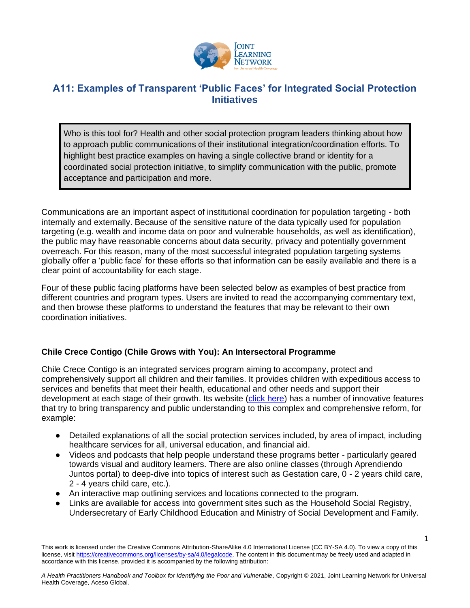

# **A11: Examples of Transparent 'Public Faces' for Integrated Social Protection Initiatives**

Who is this tool for? Health and other social protection program leaders thinking about how to approach public communications of their institutional integration/coordination efforts. To highlight best practice examples on having a single collective brand or identity for a coordinated social protection initiative, to simplify communication with the public, promote acceptance and participation and more.

Communications are an important aspect of institutional coordination for population targeting - both internally and externally. Because of the sensitive nature of the data typically used for population targeting (e.g. wealth and income data on poor and vulnerable households, as well as identification), the public may have reasonable concerns about data security, privacy and potentially government overreach. For this reason, many of the most successful integrated population targeting systems globally offer a 'public face' for these efforts so that information can be easily available and there is a clear point of accountability for each stage.

Four of these public facing platforms have been selected below as examples of best practice from different countries and program types. Users are invited to read the accompanying commentary text, and then browse these platforms to understand the features that may be relevant to their own coordination initiatives.

# **Chile Crece Contigo (Chile Grows with You): An Intersectoral Programme**

Chile Crece Contigo is an integrated services program aiming to accompany, protect and comprehensively support all children and their families. It provides children with expeditious access to services and benefits that meet their health, educational and other needs and support their development at each stage of their growth. Its website [\(click here\)](https://www.crececontigo.gob.cl/) has a number of innovative features that try to bring transparency and public understanding to this complex and comprehensive reform, for example:

- Detailed explanations of all the social protection services included, by area of impact, including healthcare services for all, universal education, and financial aid.
- Videos and podcasts that help people understand these programs better particularly geared towards visual and auditory learners. There are also online classes (through Aprendiendo Juntos portal) to deep-dive into topics of interest such as Gestation care, 0 - 2 years child care, 2 - 4 years child care, etc.).
- An interactive map outlining services and locations connected to the program.
- Links are available for access into government sites such as the Household Social Registry, Undersecretary of Early Childhood Education and Ministry of Social Development and Family.

1

This work is licensed under the Creative Commons Attribution-ShareAlike 4.0 International License (CC BY-SA 4.0). To view a copy of this license, visi[t https://creativecommons.org/licenses/by-sa/4.0/legalcode.](https://creativecommons.org/licenses/by-sa/4.0/legalcode) The content in this document may be freely used and adapted in accordance with this license, provided it is accompanied by the following attribution: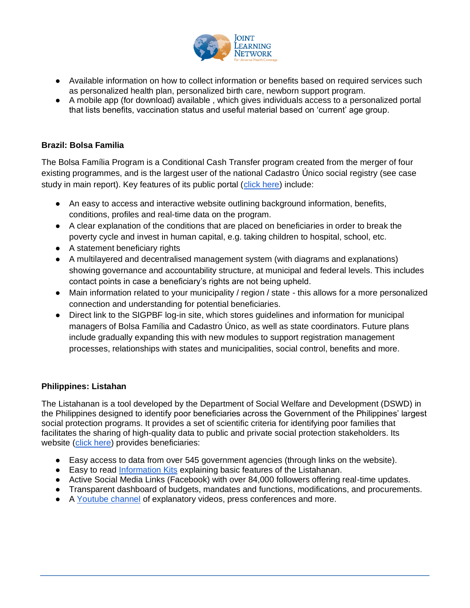

- Available information on how to collect information or benefits based on required services such as personalized health plan, personalized birth care, newborn support program.
- A mobile app (for download) available , which gives individuals access to a personalized portal that lists benefits, vaccination status and useful material based on 'current' age group.

## **Brazil: Bolsa Familia**

The Bolsa Família Program is a Conditional Cash Transfer program created from the merger of four existing programmes, and is the largest user of the national Cadastro Único social registry (see case study in main report). Key features of its public portal [\(click here\)](https://aplicacoes.mds.gov.br/sagirmps/bolsafamilia/) include:

- An easy to access and interactive website outlining background information, benefits, conditions, profiles and real-time data on the program.
- A clear explanation of the conditions that are placed on beneficiaries in order to break the poverty cycle and invest in human capital, e.g. taking children to hospital, school, etc.
- A statement beneficiary rights
- A multilayered and decentralised management system (with diagrams and explanations) showing governance and accountability structure, at municipal and federal levels. This includes contact points in case a beneficiary's rights are not being upheld.
- Main information related to your municipality / region / state this allows for a more personalized connection and understanding for potential beneficiaries.
- Direct link to the SIGPBF log-in site, which stores guidelines and information for municipal managers of Bolsa Família and Cadastro Único, as well as state coordinators. Future plans include gradually expanding this with new modules to support registration management processes, relationships with states and municipalities, social control, benefits and more.

### **Philippines: Listahan**

The Listahanan is a tool developed by the Department of Social Welfare and Development (DSWD) in the Philippines designed to identify poor beneficiaries across the Government of the Philippines' largest social protection programs. It provides a set of scientific criteria for identifying poor families that facilitates the sharing of high-quality data to public and private social protection stakeholders. Its website [\(click here\)](https://listahanan.dswd.gov.ph/) provides beneficiaries:

- Easy access to data from over 545 government agencies (through links on the website).
- Easy to read [Information Kits](https://listahanan.dswd.gov.ph/infokit/) explaining basic features of the Listahanan.
- Active Social Media Links (Facebook) with over 84,000 followers offering real-time updates.
- Transparent dashboard of budgets, mandates and functions, modifications, and procurements.
- A [Youtube channel](https://www.youtube.com/channel/UC_IkSoBriQxmdL0Z7dXFN4A) of explanatory videos, press conferences and more.